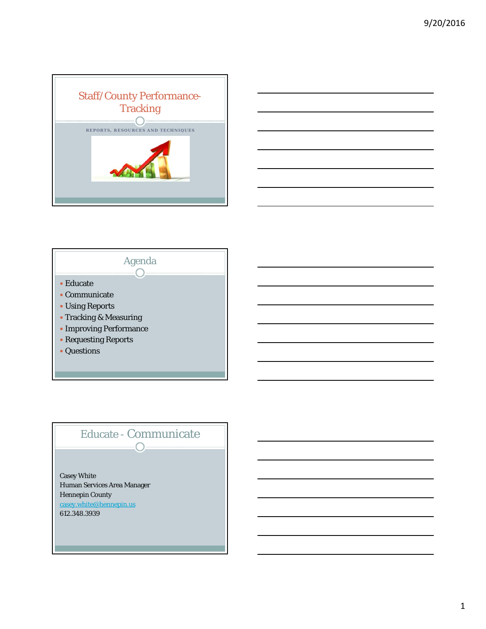





## Educate - Communicate  $\bigcirc$

Casey White Human Services Area Manager Hennepin County casey.white@hennepin.us 612.348.3939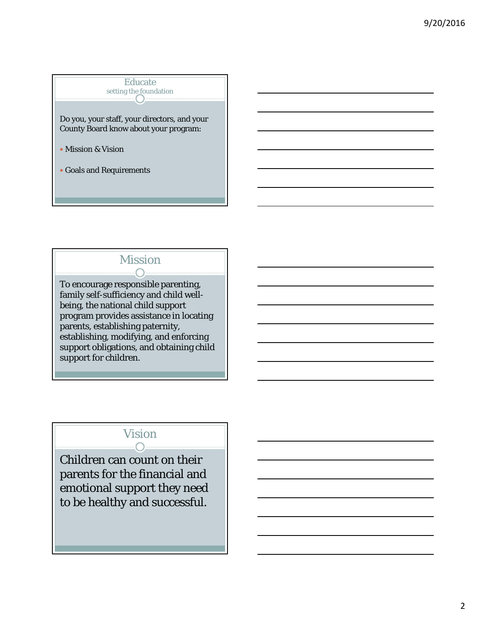Educate setting the foundation

Do you, your staff, your directors, and your County Board know about your program:

- Mission & Vision
- Goals and Requirements

# Mission

To encourage responsible parenting, family self-sufficiency and child wellbeing, the national child support program provides assistance in locating parents, establishing paternity, establishing, modifying, and enforcing support obligations, and obtaining child support for children.

#### Vision  $\bigcap$

Children can count on their parents for the financial and emotional support they need to be healthy and successful.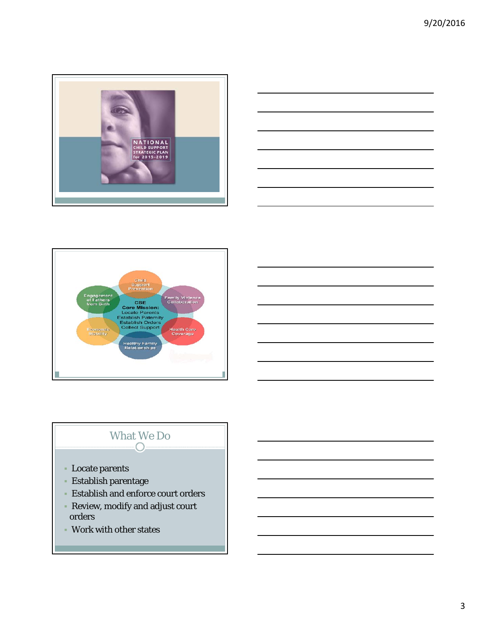





# What We Do

- Locate parents
- Establish parentage
- Establish and enforce court orders
- Review, modify and adjust court orders
- Work with other states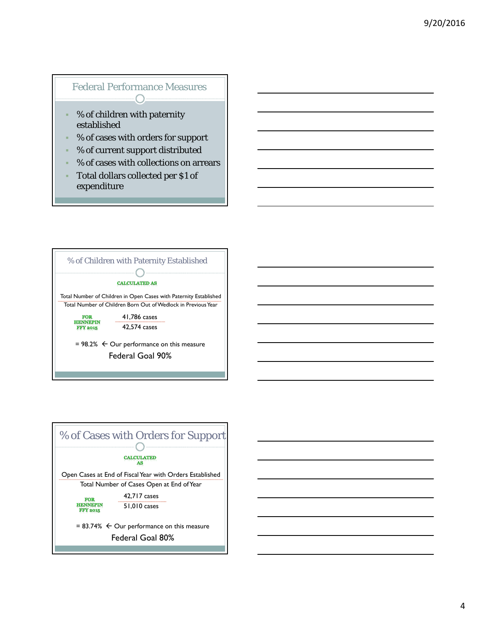#### Federal Performance Measures  $\bigcap$

- % of children with paternity established
- % of cases with orders for support
- % of current support distributed
- % of cases with collections on arrears
- Total dollars collected per \$1 of expenditure





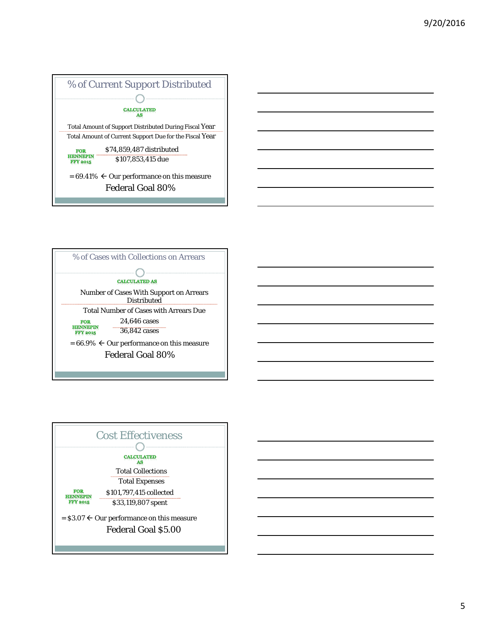



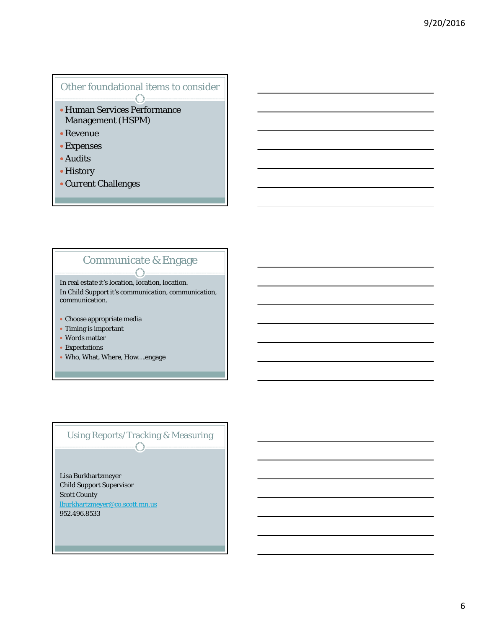# Other foundational items to consider

- Human Services Performance Management (HSPM)
- Revenue
- Expenses
- Audits
- History
- Current Challenges

#### Communicate & Engage  $\curvearrowright$

In real estate it's location, location, location. In Child Support it's communication, communication, communication.

- Choose appropriate media
- Timing is important
- Words matter
- Expectations
- Who, What, Where, How….engage

#### Using Reports/Tracking & Measuring  $\bigcap$

Lisa Burkhartzmeyer Child Support Supervisor Scott County lburkhartzmeyer@co.scott.mn.us 952.496.8533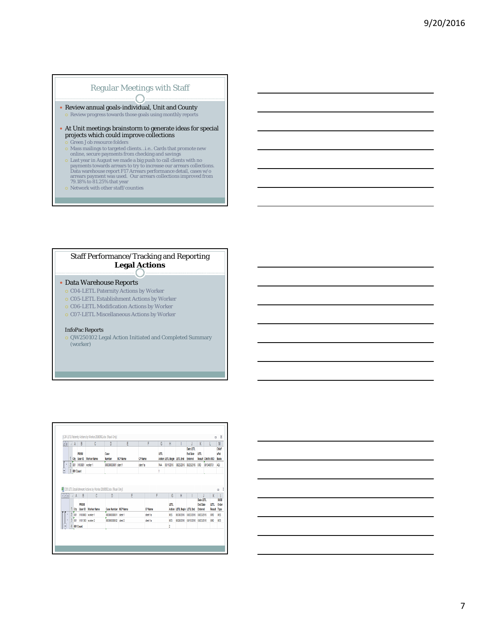### Regular Meetings with Staff

- Review annual goals-individual, Unit and County  $\circ$  Review progress towards those goals using monthly reports
- At Unit meetings brainstorm to generate ideas for special projects which could improve collections
- Green Job resource folders
- Mass mailings to targeted clients…i.e.. Cards that promote new online, secure payments from checking and savings
- $\circ$  Last year in August we made a big push to call clients with no payments towards arrears to try to increase our arrears collections. Data warehouse report F17 Arrears performance detail, cases w/o arrears payment was
- Network with other staff/counties

#### Staff Performance/Tracking and Reporting **Legal Actions**

#### Data Warehouse Reports

- o C04-LETL Paternity Actions by Worker
- o C05-LETL Establishment Actions by Worker
- o C06-LETL Modification Actions by Worker
- C07-LETL Miscellaneous Actions by Worker

#### InfoPac Reports

 QW250102 Legal Action Initiated and Completed Summary (worker)

| 23  |                | $\mathbf{A}$ | B<br>PRISM<br>Cty User ID | Ċ<br><b>Worker Name</b>                                                     | n<br>Case<br>Number         | E<br><b>NCP Name</b> | F<br><b>CP Name</b> | G<br>LETL | H<br>Action LETL Begin LETL End |                            | Date LETL<br><b>End Date</b><br>Entered | K<br>LETL                         | <b>Result Child's MCI</b> | M<br><b>Child</b><br>sPat<br>Basis |
|-----|----------------|--------------|---------------------------|-----------------------------------------------------------------------------|-----------------------------|----------------------|---------------------|-----------|---------------------------------|----------------------------|-----------------------------------------|-----------------------------------|---------------------------|------------------------------------|
|     | $\mathbf{2}$   |              | 001 X10001 worker 1       |                                                                             | MCCODMCCO1 client 1         |                      | clent fa            | PAA       | 05/11/2016                      | 03/25/2016                 | 03/25/2016                              | 000                               | 0015469751                | ADJ                                |
|     | 3              | 011 Count    |                           |                                                                             |                             |                      |                     |           |                                 |                            |                                         |                                   |                           |                                    |
| 123 |                | $\mathsf{A}$ | B                         | [8] COS LETL Establishment Actions by Worker 20160902.xlsx [Read-Only]<br>Ċ | D                           | Ė                    |                     | F         | G                               | H                          |                                         | <b>Date LETL</b>                  | K                         | ۰<br>9100                          |
|     |                |              | PRISM                     | Cty User ID Worker Name                                                     | <b>Case Number NCP Name</b> |                      | <b>CP Name</b>      |           | LETL                            | Action LETL Begin LETL End |                                         | <b>End Date</b><br><b>Entered</b> | LETL<br>Result            | Order                              |
|     | $\overline{c}$ | ŌМ           | <b>X100000</b>            | worker 1                                                                    | 0000000001 clerk1           |                      | client 1a           |           | <b>IES</b>                      | 06/30/2016                 | 03/23/2016                              | 08/23/2016                        | <b>ORD</b>                | Type<br><b>VES</b>                 |
|     |                | ion t        |                           | X101300 worker 2                                                            | 00000000002 clert 2         |                      | clert fa            |           | <b>IES</b>                      | 06/28/2016                 | 08/15/2016                              | 08/23/2016                        | ORD                       | <b>VES</b>                         |

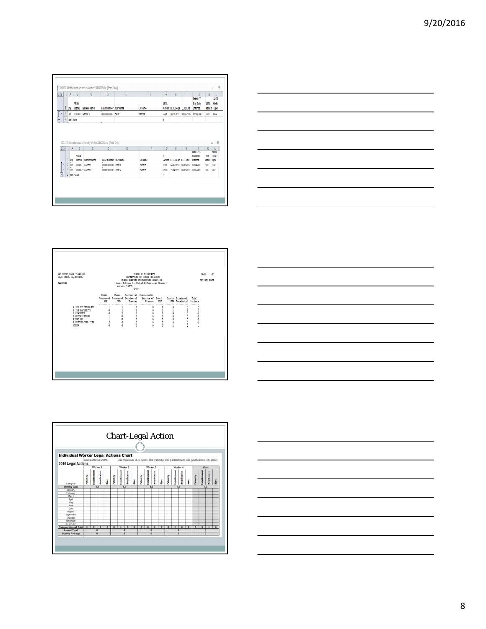| 23                                             | A<br>Ctv    | B<br>PRISM<br>User ID  | Ċ<br><b>Worker Name</b>                                                 | $\mathbf{D}$<br>Case Number NCP Name | E | F<br><b>CP Name</b> | G<br>LETL      | H<br>Action LETL Begin LETL End |            | Date LETL<br><b>End Date</b><br>Entered | K<br>LETL.                 | <b>SUOD</b><br>Order<br>Result Type |
|------------------------------------------------|-------------|------------------------|-------------------------------------------------------------------------|--------------------------------------|---|---------------------|----------------|---------------------------------|------------|-----------------------------------------|----------------------------|-------------------------------------|
| ٠                                              |             | 2 001 X100001 worker 1 |                                                                         | 00000000002 clent 1                  |   | clent fa            | RAM            | 06/23/2016 08/09/2016           |            | 08/09/2016                              | 000                        | RAM                                 |
|                                                | 3 001 Count |                        |                                                                         |                                      |   |                     |                |                                 |            |                                         |                            |                                     |
| $23$ $\overline{)$ $\overline{)$ $\overline{)$ |             | B                      | CO7 LETL Miscellaneous Actions by Worker 20160902.xlsx [Read-Only]<br>c | n.                                   | E | F                   | G              | H                               |            |                                         | K                          | $\boxdot$<br>$\qquad \qquad \Box$   |
|                                                |             |                        |                                                                         |                                      |   |                     |                |                                 |            | Date LETL                               |                            | \$100                               |
|                                                |             | PRISM                  | Ctr User ID Worker Name                                                 | <b>Case Number NCP Name</b>          |   | <b>CP Name</b>      | <b>IFTL</b>    | Action LETL Begin LETL End      |            | <b>Find Date</b><br>Entered             | <b>IFTI</b><br>Result Type | Order                               |
| ٠                                              | $2 \omega$  |                        | X100001 worker 1                                                        | MODMODI1 clert1                      |   | clent 1a            | <b>CTM</b>     | 04/05/2016 08/02/2016           |            | 08/04/2016                              | ORD                        | CTM                                 |
|                                                | $3$ 001     |                        | X100002 worker 2                                                        | 00000000002 clert 2                  |   | clent 1a            | <b>RW</b>      | 11/04/2015                      | 08/02/2016 | 03/05/2016                              | 050                        | REV                                 |
|                                                | 4 001 Count |                        |                                                                         |                                      |   |                     | $\overline{2}$ |                                 |            |                                         |                            |                                     |
|                                                |             |                        |                                                                         |                                      |   |                     |                |                                 |            |                                         |                            |                                     |









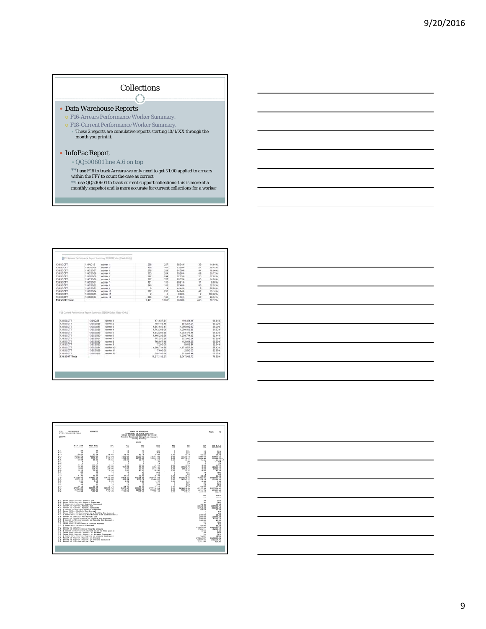#### Collections  $\bigcap$

#### Data Warehouse Reports

- F16-Arrears Performance Worker Summary.
- F18-Current Performance Worker Summary.
	- $\ast$  These 2 reports are cumulative reports starting 10/1/XX through the month you print it.

#### InfoPac Report

- QQ500601 line A.6 on top
- $^{\ast\ast}\mathrm{I}$  use F16 to track Arrears-we only need to get \$1.00 applied to arrears within the FFY to count the case as correct.
- \*\*I use QQ500601 to track current support collections-this is more of a monthly snapshot and is more accurate for current collections for a worker

| 139 SCOTT                                 | 139AID15 | worked 1                                                           | 265            | 227                         | 05.34%                     | 20             | 14,66%                  |
|-------------------------------------------|----------|--------------------------------------------------------------------|----------------|-----------------------------|----------------------------|----------------|-------------------------|
| 139 SCOTT                                 | 139CS055 | worker 2                                                           | 128            | 157                         | 83.59%                     | 21             | 16.41%                  |
| 139 SCOTT                                 | 13903057 | worker 3                                                           | 275            | 221                         | 84,00%                     | 44             | 16,00%                  |
| 139 SCOTT                                 | 13003058 | worker 4                                                           | tit            | 264                         | 79.20%                     | 69             | 20.72%                  |
| 139 SCOTT                                 | 139CS059 | worker 5                                                           | 297            | 244                         | 82.15%                     | 53             | 17.85%                  |
| 139 SCOTT                                 | 13909060 | worker 6                                                           | 267            | 227                         | 95.02%                     | 40             | 14 9 8 %                |
| 139 SCOTT                                 | 13909061 | worker?                                                            | 121            | 110                         | 00 91%                     | 11             | 9.09%                   |
| 139 SCOTT                                 | 139CS062 | worker B                                                           | 246            | 166                         | 67.40%                     | BO.            | 32.52%                  |
| 130 SCOTT                                 | 13005063 | worker 9                                                           |                | ×                           | 44.44%                     | s              | 55,58%                  |
| 139 SCOTT                                 | 139CSO64 | worker 10                                                          | 277            | 235                         | 84.84%                     | 42             | 15.16%                  |
| 139 SCOTT                                 | 13909065 | worker 11                                                          | $\overline{a}$ | $\sim$                      | 0.00%                      | $\overline{2}$ | 100.00%                 |
|                                           | 13909066 | worker 12                                                          | 200            | 143                         | 71.50%                     | 57             | 20,50%                  |
|                                           |          |                                                                    |                |                             |                            |                |                         |
|                                           |          | F18 Current Ferformance Report Surromany 20100902.vlus (Read-Only) | 2.421          | 1958                        | 85,88%                     | 463            | 19.12%                  |
| 139 SCOTT                                 | 130AID25 | worker 1                                                           |                | 171537.81                   | 119,451.11                 |                | 69.64%                  |
| 139 SCOTT                                 | 139CS056 | worker 2                                                           |                | 700.159.16                  | 58125727                   |                | 83.02%                  |
| 139 SCOTT                                 | 13903057 | worker 3                                                           |                | 1,607,650.17                | 1,355,092.52               |                | 84,29%                  |
| 139 SCOTT                                 | 130CS058 | worker 4                                                           |                | 1,703,358.06                | 1,300,423.88               |                | 31.63%                  |
| <b>139 SCOTT</b>                          | 139CS059 | worker 5                                                           |                | 1,542,285.88                | 1,393.175.11               |                | 84.83%                  |
| 139 SCOTT                                 | 139CS060 | worker 6                                                           |                | 1.466.236.59                | 1,208,704.62               |                | 82.44%                  |
| 139 SCOTT                                 | 13905061 | worker 7                                                           |                | 747,245.36                  | 637,080.64                 |                | 05.26%                  |
| 139 BCOTT                                 | 13905062 | worker B                                                           |                | 769, 957, 48                | 412 061 33                 |                | 53,59%                  |
| 139 SCOTT                                 | 13909063 | worker 9                                                           |                | 17,260.00                   | 5,615.94                   |                | 32.54%                  |
| 139 SCOTT<br>139 SCOTT Total<br>139 SCOTT | 13009064 | worker 10                                                          |                | 1,956,734.88                | 1.671.567.84               |                | 05.43%                  |
| 130 SCOTT                                 | 139CS065 | worker 11                                                          |                | 7 600.00                    | 2500.00                    |                | 32.89%                  |
| 139 SCOTT<br>139 SCOTT Total              | 139CS066 | worker 12                                                          |                | 528,102.88<br>11.317.130.27 | 271,008.44<br>9.047.939.70 |                | 51.32%<br><b>79.95%</b> |

| <u>state and the state of the state of the state of the state of the state of the state of the state of the state of the state of the state of the state of the state of the state of the state of the state of the state of the</u> |     |
|--------------------------------------------------------------------------------------------------------------------------------------------------------------------------------------------------------------------------------------|-----|
|                                                                                                                                                                                                                                      | ___ |
| <u> Alexander de la construcción de la construcción de la construcción de la construcción de la construcción de l</u>                                                                                                                |     |
|                                                                                                                                                                                                                                      |     |
|                                                                                                                                                                                                                                      |     |
|                                                                                                                                                                                                                                      |     |



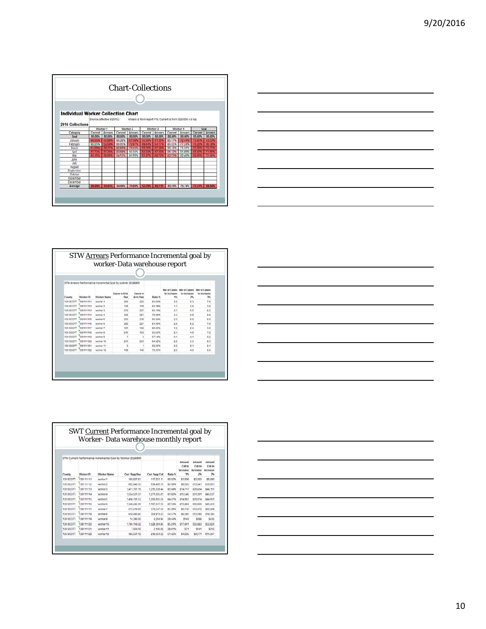| <b>Individual Worker Collection Chart</b> |         |                            |          |                |                                                            |         |               |                |                   |        |
|-------------------------------------------|---------|----------------------------|----------|----------------|------------------------------------------------------------|---------|---------------|----------------|-------------------|--------|
|                                           |         | Source (effective 6/2015): |          |                | Arrears is from report F16. Current is from QQ5006 A.6 top |         |               |                |                   |        |
| 2016 Collections                          |         |                            |          |                |                                                            |         |               |                |                   |        |
|                                           |         | Worker 1                   | Worker 2 |                | Worker 3                                                   |         | Worker 4      |                |                   | Goal   |
| Category                                  | Current | <b>Arrears</b>             | Current  | <b>Arrears</b> | Current                                                    | Arrears | Current       | <b>Arrears</b> | Current   Arrears |        |
| Goal                                      | 80,00%  | 80.00%                     | 88,00%   | 80.00%         | 80.00%                                                     | 80.00%  | <b>33,00%</b> | 80,00%         | 85.00%            | 80,00% |
| January                                   | 68.65%  | 50.98%                     | 86.28%   |                | 55.309                                                     | 61.20%  | 85.17%        | 72.44%         | 73859             | 63.03% |
| February                                  | 82 25%  |                            | 86.05%   |                | 49.943                                                     |         | 86.55%        | 77.34%         | 78.209            |        |
| March                                     |         |                            | 8286%    | <b>76.03%</b>  |                                                            |         | 86.16%        | 79.69%         |                   |        |
| April                                     |         |                            | 83.58%   | 80.30%         |                                                            |         | 85.12%        | 81.85%         |                   |        |
| May                                       |         |                            | 84.53%   | 81.55%         |                                                            |         | 82.73%        | 82.40%         |                   | 72.88* |
| June                                      |         |                            |          |                |                                                            |         |               |                |                   |        |
| July                                      |         |                            |          |                |                                                            |         |               |                |                   |        |
| August                                    |         |                            |          |                |                                                            |         |               |                |                   |        |
| September                                 |         |                            |          |                |                                                            |         |               |                |                   |        |
| October                                   |         |                            |          |                |                                                            |         |               |                |                   |        |
| November                                  |         |                            |          |                |                                                            |         |               |                |                   |        |
| December                                  |         |                            |          |                |                                                            |         |               |                |                   |        |
| Average                                   | 66.05%  | <b>55.61%</b>              | 84.66%   | 75.69%         | 53.76%                                                     | 65.73%  | 85.15%        | 78.74%         | 72.41%            | 68.94% |



|        |                     | STW Arrears Performance Incremntal Goal by wokrer 20160809 |                      |                             |         |                   |                                                    |                                          |
|--------|---------------------|------------------------------------------------------------|----------------------|-----------------------------|---------|-------------------|----------------------------------------------------|------------------------------------------|
| County | Worker ID           | Worker Name                                                | Cases w Arrs<br>Doin | Cases w<br><b>Arrs Paid</b> | Ratio % | to increase<br>1% | Nor of Cases Nor of Cases<br>to increase<br>$25 -$ | <b>Nbr of Cases</b><br>to increase<br>3% |
|        | 139 SCOTT 139111111 | worker 1                                                   | 263                  | 220                         | 83.65%  | 26                | 53                                                 | 7.9                                      |
|        | 139 SCOTT 139111112 | worker 2                                                   | 128                  | 108                         | B4.38%  | 11                | 28                                                 | 3.8                                      |
|        | 139 SCOTT 139111113 | worker 3                                                   | 273                  | 227                         | B3.15%  | 27                | 55                                                 | 82                                       |
|        | 139 SCOTT 139111114 | worker 4                                                   | 326                  | 257                         | 79.08%  | 33                | 65                                                 | 9.8                                      |
|        | 139 SCOTT 139111115 | worker 5                                                   | 293                  | 235                         | 80,20%  | 29                | 5.9                                                | 88                                       |
|        | 139 SCOTT 139111116 | worker 6                                                   | 262                  | 221                         | 84.35%  | 26                | 52                                                 | 7.9                                      |
|        | 139 SCOTT 139111117 | worker 7                                                   | 121                  | 102                         | 89,26%  | 12                | 2.4                                                | 3.6                                      |
|        | 139 SCOTT 139111118 | worker 8                                                   | 240                  | 158                         | 65.83%  | 24                | 48                                                 | 72                                       |
|        | 139 SCOTT 139111119 | worker 9                                                   | υ                    |                             | 57.14%  | 0.1               | 0.1                                                | 0.2                                      |
|        | 139 SCOTT 139111120 | worker 10                                                  | 276                  | 233                         | 84.42%  | 28                | 5.5                                                | 8.3                                      |
|        | 139 SCOTT 139111121 | worker 11                                                  | ٩                    |                             | 33.33%  | 0.0               | 0.1                                                | 0.1                                      |
|        | 139 SCOTT 139111122 | worker 12                                                  | 199                  | 140                         | 70.35%  | 20                | 40                                                 | 6.0                                      |

| <u> 1989 - Johann Stoff, Amerikaansk politiker (* 1908)</u>                                                            |  |
|------------------------------------------------------------------------------------------------------------------------|--|
|                                                                                                                        |  |
|                                                                                                                        |  |
|                                                                                                                        |  |
| <u> 1989 - Johann Stoff, amerikansk politiker (* 1908)</u>                                                             |  |
|                                                                                                                        |  |
|                                                                                                                        |  |
|                                                                                                                        |  |
| <u> 1989 - An Dùbhlachd ann an Dùbhlachd ann an Dùbhlachd ann an Dùbhlachd ann an Dùbhlachd ann an Dùbhlachd ann a</u> |  |
|                                                                                                                        |  |
|                                                                                                                        |  |
|                                                                                                                        |  |
|                                                                                                                        |  |
|                                                                                                                        |  |
|                                                                                                                        |  |
|                                                                                                                        |  |
|                                                                                                                        |  |
|                                                                                                                        |  |
|                                                                                                                        |  |
|                                                                                                                        |  |
|                                                                                                                        |  |
|                                                                                                                        |  |
| <u> 1989 - Johann Stoff, amerikansk politiker (d. 1989)</u>                                                            |  |
|                                                                                                                        |  |

|                  |           |                                                             | Worker-Data warehouse monthly report |                |         |                                    |                                    |                                     |
|------------------|-----------|-------------------------------------------------------------|--------------------------------------|----------------|---------|------------------------------------|------------------------------------|-------------------------------------|
|                  |           |                                                             |                                      |                |         |                                    |                                    |                                     |
|                  |           | STW Current Performance Incremental Goal by Worker 20160809 |                                      |                |         |                                    |                                    |                                     |
| County           | Worker ID | Worker Name                                                 | Carr Supp Due                        | Curr Supp Coll | Ratio % | Amount<br>Collin<br>increase<br>1% | Amount<br>Collin<br>increase<br>25 | Amount<br>Coll to<br>increase<br>25 |
| 139 SCOTT        | 130111111 | worker 1                                                    | 169 637.81                           | 117, 931.11    | 69.62%  | \$1,696                            | \$3,393                            | \$5,089                             |
| 139 SCOTT        | 139111112 | worker 2                                                    | 652 040 33                           | 538 455 79     | 82.58%  | \$6,620                            | \$13.041                           | \$19.661                            |
| 139 SCOTT        | 139111113 | worker 3                                                    | 1,471,707.15                         | 1,235,339.44   | 83.94%  | 814 717                            | \$29,434                           | \$44,151                            |
| 139 SCOTT        | 139111114 | worker 4                                                    | 155455137                            | 1271655.01     | 81.80%  | \$15.546                           | \$31.091                           | \$46,637                            |
| 139 SCOTT        | 139111115 | worker 5                                                    | 1,498,701.53                         | 1,268,955.56   | 84.67%  | \$14,987                           | \$29.974                           | \$44.951                            |
| <b>139 SCOTT</b> | 139111116 | worker 6                                                    | 1,348 446 26                         | 1,107,637.33   | 82.14%  | \$13,484                           | \$26,969                           | \$40,453                            |
| 139 SCOTT        | 139111117 | worker 7                                                    | 673,619.00                           | 574.547.50     | 85.29%  | \$6,736                            | \$13,472                           | \$20,209                            |
| 139 SCOTT        | 139111118 | worker 8                                                    | 659.493.85                           | 359 913 23     | 54.57%  | \$6,595                            | \$13,190                           | \$19.785                            |
| <b>139 SCOTT</b> | 120111110 | Worker 9                                                    | 14 390 00                            | 426494         | 29.64%  | \$144                              | \$288                              | \$432                               |
| 139 SCOTT        | 139111120 | worker 10                                                   | 1.794.149.32                         | 1529 354 93    | 85.24%  | \$17,941                           | \$35,883                           | \$53.824                            |
| 139 SCOTT        | 139111121 | worker 11                                                   | 7,064.00                             | 2,106.00       | 29.81%  | 571                                | \$141                              | \$212                               |
| 139 SCOTT        | 139111122 | worker 12                                                   | 483.561.12                           | 248.654.52     | 51.42%  | \$4,835                            | \$9.671                            | \$14,507                            |

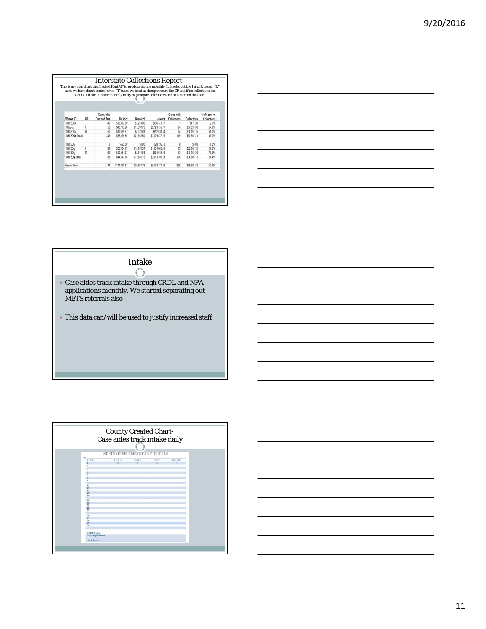| Worker ID          | UR. | Cases with<br>Curr and Arrs | Mo Accl     | Non-Accl    | Arrears        | Cases with<br>Collections | Collections | % of Cases w<br>Collections |
|--------------------|-----|-----------------------------|-------------|-------------|----------------|---------------------------|-------------|-----------------------------|
| 139CSO0x           |     | 40                          | \$10,362.00 | \$1,274.00  | \$496,143.27   |                           | 5475.20     | 25%                         |
| 139mm              |     | 153                         | \$43,775.28 | \$17,337.79 | \$2,121,155.77 | 84                        | \$37,935.96 | 54.9%                       |
| 139CS00x           | ₽   | 50                          | \$12,699.57 | \$4,370.81  | \$612,538.24   | $\overline{34}$           | \$14.191.15 | 68.0%                       |
| 139CSO0x Total     |     | 243                         | \$66,836,85 | \$22 982 60 | \$3 229 837 28 | 119                       | \$52,602.31 | 49.0%                       |
| 139CSOv            |     | 3                           | \$692.00    | \$0.00      | \$28,196.43    | 0                         | \$0.00      | 0.0%                        |
| 139CSOv            |     | 124                         | \$30,864.79 | \$10,870.31 | \$1 851 063 99 | 翁                         | \$20,602.75 | 50.8%                       |
| 139CSOV            | R   | 81                          | \$12,984.97 | \$2,814.88  | \$934.039.86   | 43                        | \$13,703.36 | 70.5%                       |
| 139CSOy Total      |     | 188                         | 544 541 76  | \$13,685.19 | \$2 813 300 28 | 106                       | \$34,306.11 | 56.4%                       |
| <b>Grand Total</b> |     | 431                         | 5111 378 61 | \$36,667.79 | \$6.043.137.56 | 7%                        | \$86,908.47 | 42.2%                       |

|                                                                                   | ,我们也不会有什么。""我们的人,我们也不会有什么?""我们的人,我们也不会有什么?""我们的人,我们也不会有什么?""我们的人,我们也不会有什么?""我们的人 |
|-----------------------------------------------------------------------------------|----------------------------------------------------------------------------------|
|                                                                                   |                                                                                  |
|                                                                                   |                                                                                  |
| ,我们也不会有一个人的事情。""我们的人们是不是我们的人,我们也不会有一个人的人,我们也不会有一个人的人,我们也不会有一个人的人,我们也不会有一个人的人,我们也不 |                                                                                  |
|                                                                                   |                                                                                  |
|                                                                                   |                                                                                  |
|                                                                                   |                                                                                  |
|                                                                                   |                                                                                  |
|                                                                                   |                                                                                  |

Intake  $\mathbb C$ 

- Case aides track intake through CRDL and NPA applications monthly. We started separating out METS referrals also
- $\bullet$  This data can/will be used to justify increased staff

|      | SEPTEMBER, 2016 INTAKE TOTALS |       |       |               |
|------|-------------------------------|-------|-------|---------------|
| DATE | <b>TOTAL</b>                  | METS. | 51.38 | <b>REOPEN</b> |
|      | 43                            |       |       |               |
|      |                               |       |       |               |
|      |                               |       |       |               |
|      |                               |       |       |               |
|      |                               |       |       |               |
|      |                               |       |       |               |
|      |                               |       |       |               |
|      |                               |       |       |               |
| 12   |                               |       |       |               |
|      |                               |       |       |               |
|      |                               |       |       |               |
|      |                               |       |       |               |
| 16   |                               |       |       |               |
|      |                               |       |       |               |
| 19   |                               |       |       |               |
|      |                               |       |       |               |
| 21   |                               |       |       |               |
| 23   |                               |       |       |               |
| 23   |                               |       |       |               |
| 28   |                               |       |       |               |
|      |                               |       |       |               |
| 28   |                               |       |       |               |
|      |                               |       |       |               |
|      |                               |       |       |               |

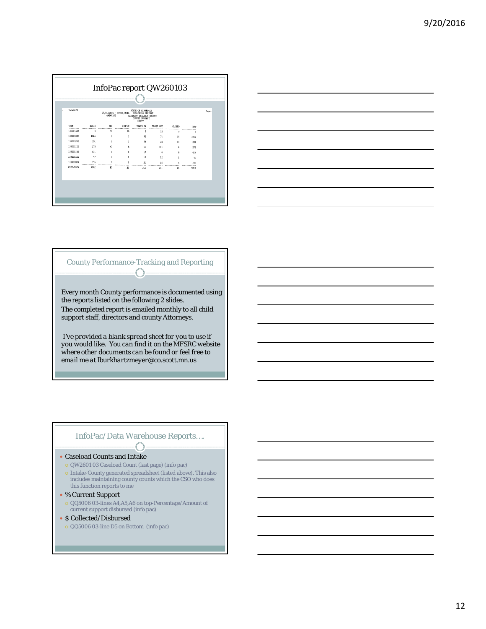



#### County Performance-Tracking and Reporting  $\overline{\phantom{a}}$

Every month County performance is documented using the reports listed on the following 2 slides. The completed report is emailed monthly to all child support staff, directors and county Attorneys.

*I've provided a blank spread sheet for you to use if you would like. You can find it on the MFSRC website where other documents can be found or feel free to email me at lburkhartzmeyer@co.scott.mn.us*

#### InfoPac/Data Warehouse Reports….  $\bigcap$

#### Caseload Counts and Intake

- QW2601 03 Caseload Count (last page) (info pac)
- Intake-County generated spreadsheet (listed above). This also includes maintaining county counts which the CSO who does this function reports to me
- % Current Support
- QQ5006 03-lines A4,A5,A6 on top-Percentage/Amount of current support disbursed (info pac)
- \$ Collected/Disbursed
	- QQ5006 03-line D5 on Bottom (info pac)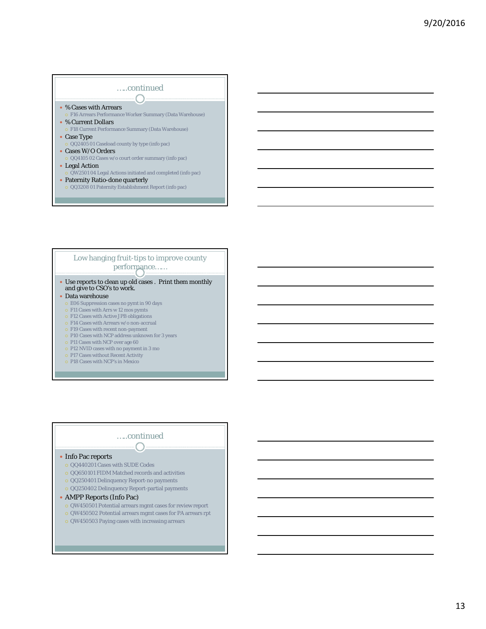#### …..continued % Cases with Arrears F16 Arrears Performance Worker Summary (Data Warehouse) % Current Dollars F18 Current Performance Summary (Data Warehouse) Case Type

- QQ2405 01 Caseload county by type (info pac) Cases W/O Orders
- QQ4105 02 Cases w/o court order summary (info pac)
- Legal Action
- QW2501 04 Legal Actions initiated and completed (info pac)
- Paternity Ratio-done quarterly QQ3208 01 Paternity Establishment Report (info pac)

#### Low hanging fruit-tips to improve county performance……

#### Use reports to clean up old cases . Print them monthly and give to CSO's to work.

- Data warehouse
- E06 Suppression cases no pymt in 90 days
- F11 Cases with Arrs w 12 mos pymts
- F12 Cases with Active JPB obligations F14 Cases with Arrears w/o non-accrual
- F19 Cases with recent non-payment
- P10 Cases with NCP address unknown for 3 years
- o P11 Cases with NCP over age 60
- P12 NVID cases with no payment in 3 mo
- P17 Cases without Recent Activity
- P18 Cases with NCP's in Mexico
- 

#### …..continued  $\curvearrowright$

#### • Info Pac reports

- QQ440201 Cases with SUDE Codes
- QQ650101 FIDM Matched records and activities
- QQ250401 Delinquency Report-no payments
- QQ250402 Delinquency Report-partial payments
- 

#### AMPP Reports (Info Pac)

- QW450501 Potential arrears mgmt cases for review report
- QW450502 Potential arrears mgmt cases for PA arrears rpt
- QW450503 Paying cases with increasing arrears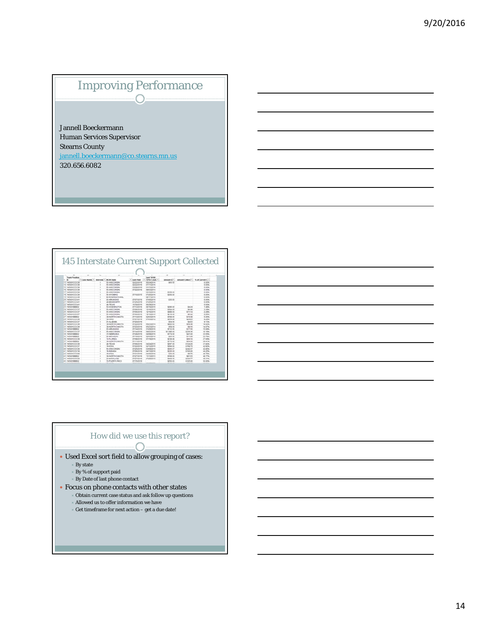## Improving Performance  $\bigcap$

Jannell Boeckermann Human Services Supervisor Stearns County jannell.boeckermann@co.stearns.mn.us 320.656.6082

145 Interstate Current Support Collected

| <b>Team Position</b>       |                  |                         |                                  |                                   | <b>Last T8900</b><br>٠     |                         |                             |                  |  |
|----------------------------|------------------|-------------------------|----------------------------------|-----------------------------------|----------------------------|-------------------------|-----------------------------|------------------|--|
| $-100$<br>13 SAFANSCOOM    | * Case Numb. * 7 | Intervited * BW M State | <b>MAMBODNER</b>                 | <sup>o</sup> Last Paid            | TOYOT CAAC *<br>05/24/2016 | Amount (I.Y.<br>\$65.50 | Amount Collect <sup>®</sup> | % of Current C-1 |  |
| <b>Mi satópaciónio</b>     |                  |                         | <b>AK-MISCONEN</b>               | 02020918                          | 27/11/2016                 |                         |                             | E.50%            |  |
|                            |                  |                         |                                  | 02/22/2016                        |                            |                         |                             | 1.00%            |  |
| 15.145001CCC39             |                  |                         | 14-WEICONISM                     | 03/08/2018                        | 01/13/2016                 |                         |                             | 0.00%            |  |
| 16 145001CCC39             |                  |                         | 55-WISCONSIN                     | 87/22/2618                        | 11022040                   |                         |                             | 3.50%            |  |
| 17-145001CCC30             |                  |                         | <b>M-WISCONSIN</b>               |                                   | 83/10/2016                 | \$129.50                |                             | 0.55%            |  |
| 18. SASONICCIO             |                  |                         | <b>MUNICIPAL</b>                 | <b>ATINGDETE</b>                  | 07/25/2016                 | \$300.30                |                             | 5.50%            |  |
| 19 14100100039             |                  |                         | <b><i>BO-INTERNATIONAL</i></b>   |                                   | 88/17/2010                 |                         |                             | 1,00%            |  |
| 20 satopscicitas           |                  |                         | <b>M-ARKANISAS</b>               | 07/07/2016                        | 07/05/2018                 | \$30.00                 |                             | 0.00%            |  |
| 2114400100041              |                  |                         | 20-MISSISSIPPI                   | 8705/2818                         | 07/25/2016                 |                         |                             | 8.52%            |  |
| 22 satisfied at            |                  |                         | 48-TEXAS                         | 11/30/2015                        | 08/29/2016                 |                         |                             | 6.50%            |  |
| 23 14500 100802            |                  |                         | 63-Wahadachtrau                  | 87113/25/18                       | 06/16/2015                 | \$298.50                | \$4.34                      | 1,42%            |  |
| 34 S45001CCC37             |                  |                         | 55-WOCCASH                       | GTO6QUIE                          | 12/16/2015                 | \$294.00                | \$5.48                      | 2.29%            |  |
| 35 salopations?            |                  |                         | <b><i>SA WISCONSINA</i></b>      | ghospass                          | 12/16/2015                 | \$488.00                | \$11.14                     | 2,28%            |  |
| 26 sessosnom37             |                  |                         | <b>SA WISCONSIN</b>              | 3706/2518                         | 12/15/2015                 | \$219.55                | \$5.52                      | 2.29%            |  |
| 27 satooseeeaz             |                  |                         | 38-NORTH DAKOTA                  | <b>ATITAGETE</b>                  | 02/03/2016                 | \$104.50                | \$10.00                     | 6,50%            |  |
| 25 145001CCC30             |                  |                         | 35-0440                          | <b>GTIGTOS18</b>                  | 07/03/2012                 | \$369.85                | \$29.83                     | 8,29%            |  |
| 29 145001CCC37             |                  |                         | O1-AL AGAINA                     | 07000016                          |                            | \$54.00                 | \$4.93                      | 8.13%            |  |
| 30 145001CCC38             |                  |                         | 38-NORTH DAKOTA                  | 07/22/2016                        | 05/23/2014                 | \$400.00                | \$56.08                     | 14.02%           |  |
| 3114500100030              |                  |                         | <b><i>MAINFRITH DIMOTS</i></b>   | 07020518                          | 05/23/2014                 | \$58.00                 | \$8.16                      | 14.07%           |  |
| 10114500186602             |                  |                         | <b><i><u>M-ARKANSSAS</u></i></b> | <b>GT/1AGG18</b>                  | 01/29/2016                 | \$112.66                | \$17.00                     | 15.53%           |  |
| 33 445001CCC37             |                  |                         | <b>14-WINCOMSN</b>               | <b>GTISACO18</b>                  | 09/02/2015                 | \$1,398.00              | \$226.36                    | 10.12%           |  |
| 34.145001RED02             |                  |                         | 21 AEBRASKA                      | GTOSQUIS                          | 04/08/2016                 | \$174.00                | \$41.00                     | 23.58%           |  |
| 35.145001888002            |                  |                         | 26-88CH02AE                      | 07/19/2016                        | 02/03/2016                 | \$53.00                 | \$11.89                     | 23.78%           |  |
| 36,14500100038             |                  |                         | 12-FLORIDA                       | 07/08/2016                        | ER/19/2016                 | \$234.68                | \$66.10                     | 27,69%           |  |
| 37 14500166602             |                  |                         | <b>10-NORTH DAKOTA</b>           | 07/11/2018                        |                            | \$170.00                | \$50.00                     | 29.47%           |  |
| 38 setonannoss             |                  |                         | 45-TEXAS                         | 07/06/2018                        | 04/24/2015                 | 6297.55                 | \$474.30                    | 41.82%           |  |
| 39.145001CCC37             |                  |                         | <b>TRICIAN</b>                   | <b>GTG2001E</b>                   | 82/12/2015                 | \$384.00                | \$158.70                    | 42.82%           |  |
| 40144601CCC30              |                  |                         | <b>BA-WISCONSIN</b>              | 07050016                          | 03/09/2016                 | \$565.67                | \$242.37                    | 42.95%           |  |
| 41 setopscicitat           |                  |                         | 10-INDIANA                       | GTO6/2016                         | <b>B4/13/2018</b>          | \$226.00                | \$100.00                    | 44,26%           |  |
| 42 145001CCC08             |                  |                         | <b>19.00NH</b>                   | 07/21/2016                        | 04050016                   | 125-90                  | \$9.75                      | 48.75%           |  |
| 43.14500100002             |                  |                         | 38-NORTH DAKOTA                  | 97/27/2018                        | 11/13/2013                 | \$158.00                | \$81.93                     | 48.77%           |  |
| AA 14500100030             |                  |                         | 24/4WW.AND                       | <b>STOTOS18</b>                   | 07/29/2010                 | \$455.00                | \$230.77                    | <b>48.37%</b>    |  |
| 45.14500100002             |                  |                         | 72-PLERTO RICO                   | <b>GT/15/2016</b>                 |                            | \$250.00                | \$125.00                    | 10.00%           |  |
| <b>AT A REAGAN GALLANT</b> |                  |                         | <b>SALES AND</b>                 | <b><i>A Bridge A Mind and</i></b> | --------                   | 4444.54                 | <b>Allian Suit</b>          | <b>CA BAN</b>    |  |
|                            |                  |                         |                                  |                                   |                            |                         |                             |                  |  |
|                            |                  |                         |                                  |                                   |                            |                         |                             |                  |  |

#### How did we use this report?  $\bigcap$

Used Excel sort field to allow grouping of cases:

- By state
- By % of support paid
- $\times$  By Date of last phone contact
- Focus on phone contacts with other states
	- Obtain current case status and ask follow up questions
	- Allowed us to offer information we have
	- $\overline{\phantom{a}}$  Get timeframe for next action get a due date!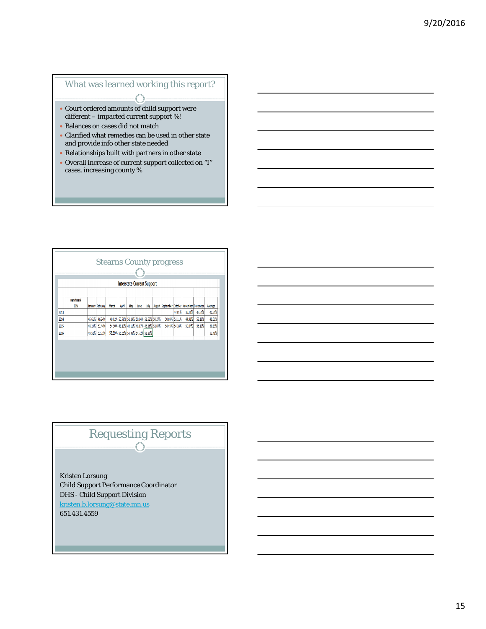#### What was learned working this report?

- Court ordered amounts of child support were different – impacted current support %!
- Balances on cases did not match
- Clarified what remedies can be used in other state and provide info other state needed
- Relationships built with partners in other state
- Overall increase of current support collected on "I" cases, increasing county %

| <b>Interstate Current Support</b> |                  |        |                  |                                    |       |     |                                           |      |  |                                            |                                |                  |                  |                  |
|-----------------------------------|------------------|--------|------------------|------------------------------------|-------|-----|-------------------------------------------|------|--|--------------------------------------------|--------------------------------|------------------|------------------|------------------|
|                                   | <b>Benchmark</b> |        |                  |                                    |       |     |                                           |      |  |                                            |                                |                  |                  |                  |
|                                   | 80%              |        | January February | March                              | April | May | June                                      | July |  | August September October November December |                                |                  |                  | Average          |
| 2013                              |                  | 45.61% | 46.24%           |                                    |       |     | 48.02% 50.76% 51.24% 50.64% 51.52% 50.27% |      |  |                                            | 44.01%                         | 39.11%<br>44.91% | 45.61%<br>53.16% | 42.91%<br>49,51% |
| 2014<br>2015                      |                  | 48.19% | 51.44%           |                                    |       |     | 54.90% 48.13% 46.11% 48.87% 46.36% 52.87% |      |  |                                            | 50.69% 51.11%<br>54.49% 54.18% | 50.04%           | 55.13%           | 50.89%           |
| 2016                              |                  | 49.52% | 52.71%           | 56.69% 55.55% 53.38% 54.72% 51.80% |       |     |                                           |      |  |                                            |                                |                  |                  | 53.48%           |

# Requesting Reports O

Kristen Lorsung Child Support Performance Coordinator DHS - Child Support Division kristen.b.lorsung@state.mn.us 651.431.4559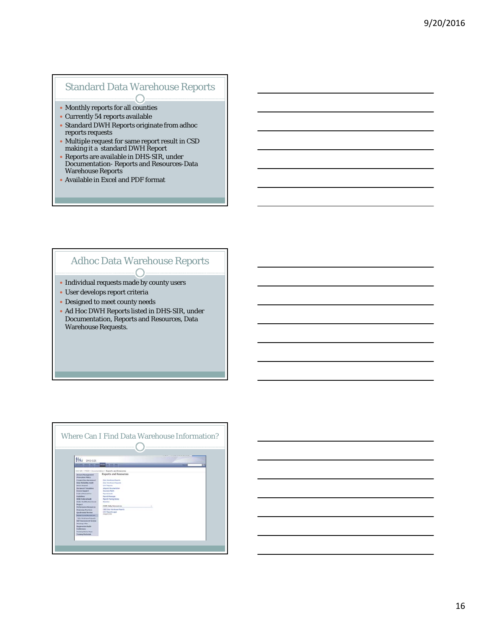# Standard Data Warehouse Reports

- Monthly reports for all counties
- Currently 54 reports available
- Standard DWH Reports originate from adhoc reports requests
- Multiple request for same report result in CSD making it a standard DWH Report
- Reports are available in DHS-SIR, under Documentation- Reports and Resources-Data Warehouse Reports
- Available in Excel and PDF format

#### Adhoc Data Warehouse Reports  $\bigcap$

- Individual requests made by county users
- User develops report criteria
- Designed to meet county needs
- Ad Hoc DWH Reports listed in DHS-SIR, under
- Documentation, Reports and Resources, Data Warehouse Requests.

| DHS-SIR                                                                                                                                                                                                                                                                                                                                                                                                                                                                                                                                                                                                                                                                         |                                                                                                                                                                                                                                                                                                                                                                                                  |  |
|---------------------------------------------------------------------------------------------------------------------------------------------------------------------------------------------------------------------------------------------------------------------------------------------------------------------------------------------------------------------------------------------------------------------------------------------------------------------------------------------------------------------------------------------------------------------------------------------------------------------------------------------------------------------------------|--------------------------------------------------------------------------------------------------------------------------------------------------------------------------------------------------------------------------------------------------------------------------------------------------------------------------------------------------------------------------------------------------|--|
| JPR 201 24 TTT AND 1990 SAN 1990 START                                                                                                                                                                                                                                                                                                                                                                                                                                                                                                                                                                                                                                          |                                                                                                                                                                                                                                                                                                                                                                                                  |  |
| <b>Arrests Hunopened</b><br><b>Presention Policy</b><br><b>Except of New Agencies and</b><br><b>Cirila Reductible Aught</b><br>Denist Import<br>Distanced Templates<br>Entered Water of<br><b>Forder of Amenast Free</b><br><b>Endealer</b><br><b>DOSE Federal Availa</b><br>Order Hudde when Grant<br>Pergusy 4<br>Forkamases Remources<br><b>Promising Practices</b><br><b>Counterpart Service</b><br><b>Reports and Newman Lee</b><br>Data Handmark Requests<br><b>Bull Automobile Resings</b><br><b><i><u>International Plane</u></i></b><br><b>Systematics Author</b><br><b>Conference</b><br>Training Home Page<br><b><i><u><u><b>Property Higherials</b></u></u></i></b> | Reports and Resources<br><b>Data Vite Arisine Beauty</b><br><b>Data Visi structure Registration</b><br>Children<br>place to Document atom<br><b>Insurance Holds</b><br><b>Balants Stade</b><br><b>Eatortt Healaps</b><br><b>Reports Tiaming Dentist</b><br><b><i><u>Ratardon</u></i></b><br><b>CSED Only Resources</b><br>CBD Data Via shours Kaserta<br><b>CRATE-world Lager</b><br>chase/a ice |  |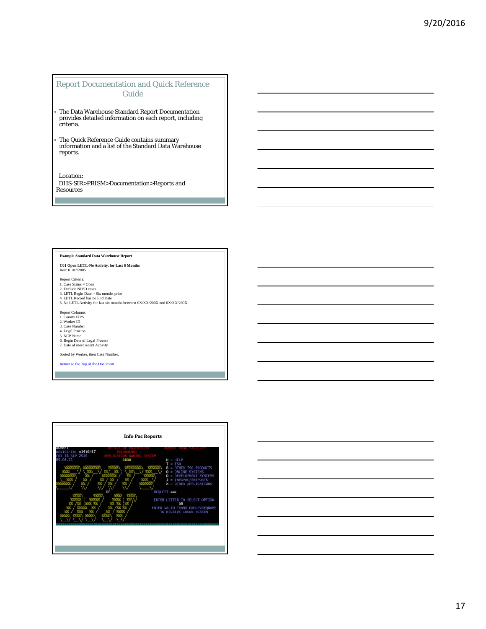#### Report Documentation and Quick Reference Guide

 The Data Warehouse Standard Report Documentation provides detailed information on each report, including criteria.

 The Quick Reference Guide contains summary information and a list of the Standard Data Warehouse reports.

Location: DHS-SIR>PRISM>Documentation>Reports and Resources

#### **Example Standard Data Warehouse Report**

**C01 Open LETL-No Activity, for Last 6 Months** Rev: 01/07/2005

Report Criteria:

1. Case Status = Open<br>2. Exclude NIVD cases<br>3. LETL Begin Date > Six months prior<br>4. LETL Record has no End Date<br>5. No LETL Activity for last six months between 0X/XX/200X and 0X/XX/200X

Report Columns: 1. County FIPS 2. Worker ID 3. Case Number

4. Legal Process 5. NCP Name 6. Begin Date of Legal Process 7. Date of most recent Activity

Sorted by Worker, then Case Number.

Return to the Top of the Document



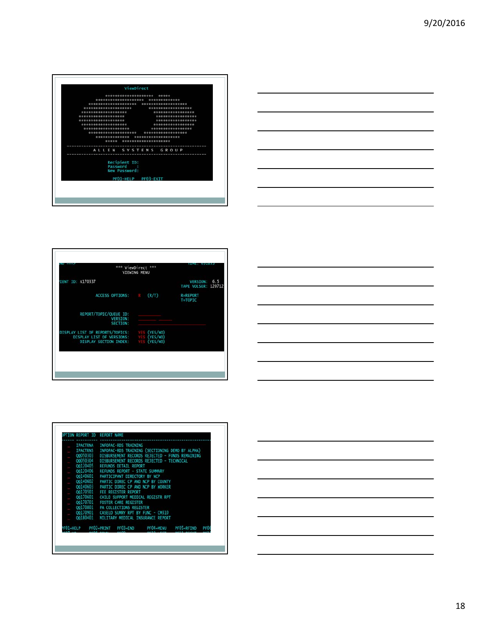





|           | <b>IPACTRNA</b> | INFOPAC-RDS TRAINING                            |           |            |                 |
|-----------|-----------------|-------------------------------------------------|-----------|------------|-----------------|
|           | <b>IPACTRNS</b> | INFOPAC-RDS TRAINING (SECTIONING DEMO BY ALPHA) |           |            |                 |
|           | 00050303        | DISBURSEMENT RECORDS REJECTED - FUNDS REMAINING |           |            |                 |
| ٠         | 00050304        | DISBURSEMENT RECORDS REJECTED - TECHNICAL       |           |            |                 |
| ◆         | 00120405        | <b>REFUNDS DETAIL REPORT</b>                    |           |            |                 |
|           | 00120406        | REFUNDS REPORT - STATE SUMMARY                  |           |            |                 |
| $\bullet$ | QQ140601        | PARTICIPANT DIRECTORY BY NCP                    |           |            |                 |
| a.        | 00140602        | PARTIC DIREC CP AND NCP BY COUNTY               |           |            |                 |
| ä,        | 00140603        | PARTIC DIREC CP AND NCP BY WORKER               |           |            |                 |
|           | 00170501        | FEE REGISTER REPORT                             |           |            |                 |
| ٠         | 00170601        | CHILD SUPPORT MEDICAL REGISTR RPT               |           |            |                 |
|           | 00170701        | <b>FOSTER CARE REGISTER</b>                     |           |            |                 |
| $\bullet$ | 00170801        | <b>PA COLLECTIONS REGISTER</b>                  |           |            |                 |
|           | 00170901        | CASELD SUMRY RPT BY FUNC - CM310                |           |            |                 |
|           | QQ180401        | MILITARY MEDICAL INSURANCE REPORT               |           |            |                 |
|           |                 | PF02=PRINT PF03=END                             |           |            |                 |
| PFO1=HELP |                 |                                                 | PF04=MENU | PFO5=RETND | PF <sub>0</sub> |
|           |                 |                                                 |           |            |                 |

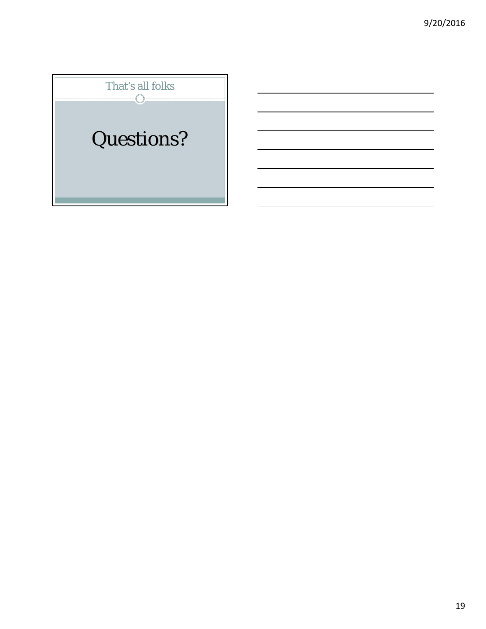# That's all folks Questions?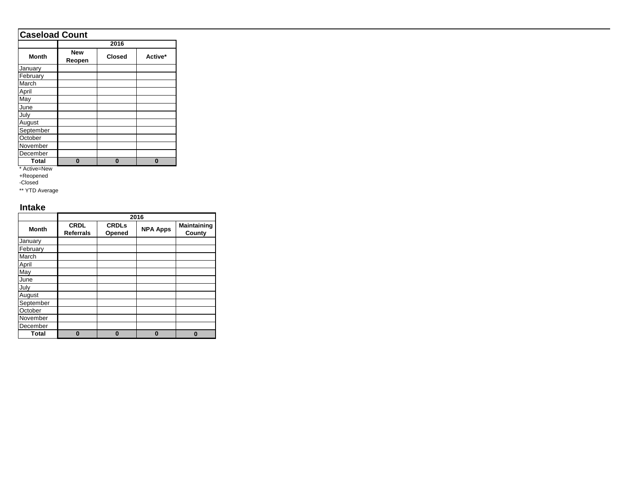# **Caseload Count**

|              |                      | 2016          |         |
|--------------|----------------------|---------------|---------|
| <b>Month</b> | <b>New</b><br>Reopen | <b>Closed</b> | Active* |
| January      |                      |               |         |
| February     |                      |               |         |
| March        |                      |               |         |
| April        |                      |               |         |
| May          |                      |               |         |
| June         |                      |               |         |
| July         |                      |               |         |
| August       |                      |               |         |
| September    |                      |               |         |
| October      |                      |               |         |
| November     |                      |               |         |
| December     |                      |               |         |
| <b>Total</b> | 0                    | 0             |         |

\* Active=New

+Reopened

-Closed

\*\* YTD Average

#### **Intake**

|              |                                 |                        | 2016            |                              |
|--------------|---------------------------------|------------------------|-----------------|------------------------------|
| <b>Month</b> | <b>CRDL</b><br><b>Referrals</b> | <b>CRDLs</b><br>Opened | <b>NPA Apps</b> | <b>Maintaining</b><br>County |
| January      |                                 |                        |                 |                              |
| February     |                                 |                        |                 |                              |
| March        |                                 |                        |                 |                              |
| April        |                                 |                        |                 |                              |
| May          |                                 |                        |                 |                              |
| June         |                                 |                        |                 |                              |
| July         |                                 |                        |                 |                              |
| August       |                                 |                        |                 |                              |
| September    |                                 |                        |                 |                              |
| October      |                                 |                        |                 |                              |
| November     |                                 |                        |                 |                              |
| December     |                                 |                        |                 |                              |
| <b>Total</b> | 0                               | 0                      | $\bf{0}$        | п                            |